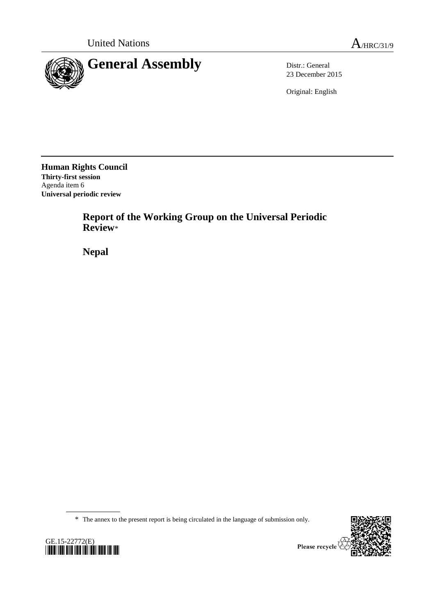



23 December 2015

Original: English

**Human Rights Council Thirty-first session** Agenda item 6 **Universal periodic review**

> **Report of the Working Group on the Universal Periodic Review**\*

**Nepal**

\* The annex to the present report is being circulated in the language of submission only.



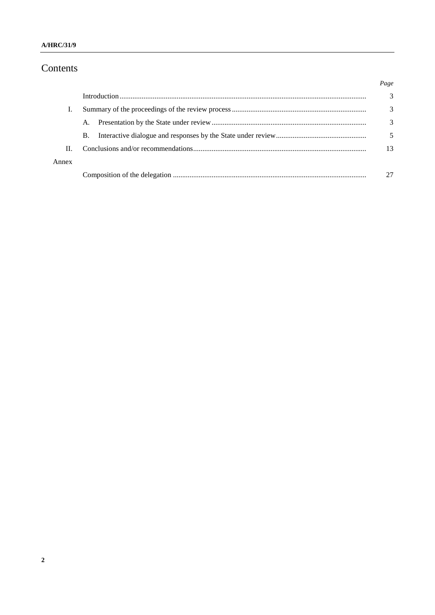# Contents

|       |           | Page |
|-------|-----------|------|
|       |           | 3    |
|       |           | 3    |
|       | A.        | 3    |
|       | <b>B.</b> |      |
| Н.    |           | 13   |
| Annex |           |      |
|       |           |      |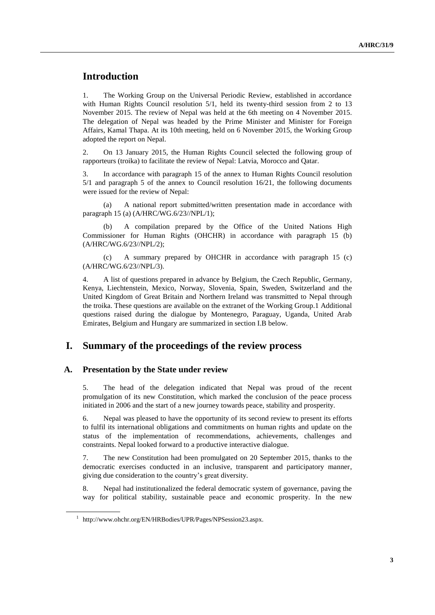# **Introduction**

1. The Working Group on the Universal Periodic Review, established in accordance with Human Rights Council resolution  $5/1$ , held its twenty-third session from 2 to 13 November 2015. The review of Nepal was held at the 6th meeting on 4 November 2015. The delegation of Nepal was headed by the Prime Minister and Minister for Foreign Affairs, Kamal Thapa. At its 10th meeting, held on 6 November 2015, the Working Group adopted the report on Nepal.

2. On 13 January 2015, the Human Rights Council selected the following group of rapporteurs (troika) to facilitate the review of Nepal: Latvia, Morocco and Qatar.

3. In accordance with paragraph 15 of the annex to Human Rights Council resolution 5/1 and paragraph 5 of the annex to Council resolution 16/21, the following documents were issued for the review of Nepal:

(a) A national report submitted/written presentation made in accordance with paragraph 15 (a) (A/HRC/WG.6/23//NPL/1);

(b) A compilation prepared by the Office of the United Nations High Commissioner for Human Rights (OHCHR) in accordance with paragraph 15 (b) (A/HRC/WG.6/23//NPL/2);

(c) A summary prepared by OHCHR in accordance with paragraph 15 (c) (A/HRC/WG.6/23//NPL/3).

4. A list of questions prepared in advance by Belgium, the Czech Republic, Germany, Kenya, Liechtenstein, Mexico, Norway, Slovenia, Spain, Sweden, Switzerland and the United Kingdom of Great Britain and Northern Ireland was transmitted to Nepal through the troika. These questions are available on the extranet of the Working Group.1 Additional questions raised during the dialogue by Montenegro, Paraguay, Uganda, United Arab Emirates, Belgium and Hungary are summarized in section I.B below.

### **I. Summary of the proceedings of the review process**

#### **A. Presentation by the State under review**

5. The head of the delegation indicated that Nepal was proud of the recent promulgation of its new Constitution, which marked the conclusion of the peace process initiated in 2006 and the start of a new journey towards peace, stability and prosperity.

6. Nepal was pleased to have the opportunity of its second review to present its efforts to fulfil its international obligations and commitments on human rights and update on the status of the implementation of recommendations, achievements, challenges and constraints. Nepal looked forward to a productive interactive dialogue.

7. The new Constitution had been promulgated on 20 September 2015, thanks to the democratic exercises conducted in an inclusive, transparent and participatory manner, giving due consideration to the country's great diversity.

8. Nepal had institutionalized the federal democratic system of governance, paving the way for political stability, sustainable peace and economic prosperity. In the new

<sup>&</sup>lt;sup>1</sup> http://www.ohchr.org/EN/HRBodies/UPR/Pages/NPSession23.aspx.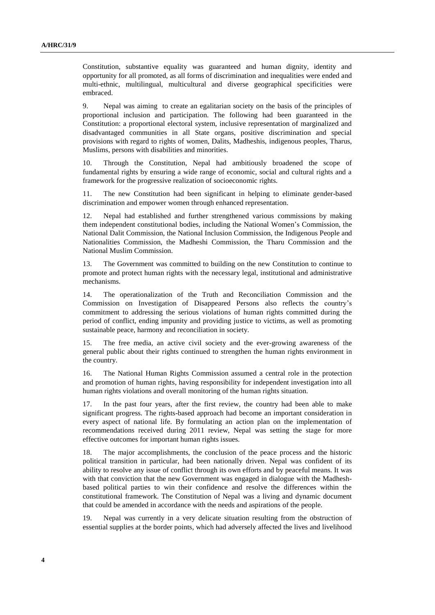Constitution, substantive equality was guaranteed and human dignity, identity and opportunity for all promoted, as all forms of discrimination and inequalities were ended and multi-ethnic, multilingual, multicultural and diverse geographical specificities were embraced.

9. Nepal was aiming to create an egalitarian society on the basis of the principles of proportional inclusion and participation. The following had been guaranteed in the Constitution: a proportional electoral system, inclusive representation of marginalized and disadvantaged communities in all State organs, positive discrimination and special provisions with regard to rights of women, Dalits, Madheshis, indigenous peoples, Tharus, Muslims, persons with disabilities and minorities.

10. Through the Constitution, Nepal had ambitiously broadened the scope of fundamental rights by ensuring a wide range of economic, social and cultural rights and a framework for the progressive realization of socioeconomic rights.

11. The new Constitution had been significant in helping to eliminate gender-based discrimination and empower women through enhanced representation.

12. Nepal had established and further strengthened various commissions by making them independent constitutional bodies, including the National Women's Commission, the National Dalit Commission, the National Inclusion Commission, the Indigenous People and Nationalities Commission, the Madheshi Commission, the Tharu Commission and the National Muslim Commission.

13. The Government was committed to building on the new Constitution to continue to promote and protect human rights with the necessary legal, institutional and administrative mechanisms.

14. The operationalization of the Truth and Reconciliation Commission and the Commission on Investigation of Disappeared Persons also reflects the country's commitment to addressing the serious violations of human rights committed during the period of conflict, ending impunity and providing justice to victims, as well as promoting sustainable peace, harmony and reconciliation in society.

15. The free media, an active civil society and the ever-growing awareness of the general public about their rights continued to strengthen the human rights environment in the country.

16. The National Human Rights Commission assumed a central role in the protection and promotion of human rights, having responsibility for independent investigation into all human rights violations and overall monitoring of the human rights situation.

17. In the past four years, after the first review, the country had been able to make significant progress. The rights-based approach had become an important consideration in every aspect of national life. By formulating an action plan on the implementation of recommendations received during 2011 review, Nepal was setting the stage for more effective outcomes for important human rights issues.

18. The major accomplishments, the conclusion of the peace process and the historic political transition in particular, had been nationally driven. Nepal was confident of its ability to resolve any issue of conflict through its own efforts and by peaceful means. It was with that conviction that the new Government was engaged in dialogue with the Madheshbased political parties to win their confidence and resolve the differences within the constitutional framework. The Constitution of Nepal was a living and dynamic document that could be amended in accordance with the needs and aspirations of the people.

19. Nepal was currently in a very delicate situation resulting from the obstruction of essential supplies at the border points, which had adversely affected the lives and livelihood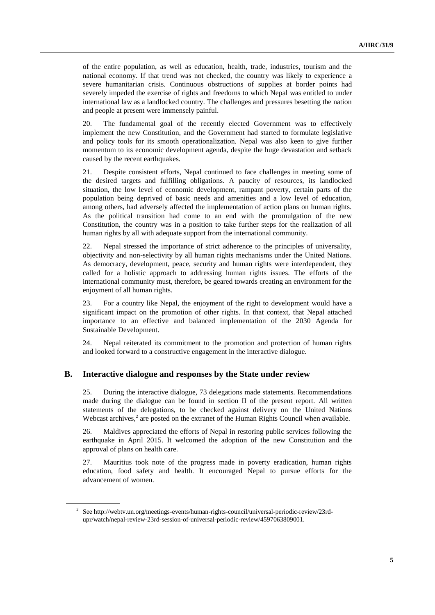of the entire population, as well as education, health, trade, industries, tourism and the national economy. If that trend was not checked, the country was likely to experience a severe humanitarian crisis. Continuous obstructions of supplies at border points had severely impeded the exercise of rights and freedoms to which Nepal was entitled to under international law as a landlocked country. The challenges and pressures besetting the nation and people at present were immensely painful.

20. The fundamental goal of the recently elected Government was to effectively implement the new Constitution, and the Government had started to formulate legislative and policy tools for its smooth operationalization. Nepal was also keen to give further momentum to its economic development agenda, despite the huge devastation and setback caused by the recent earthquakes.

21. Despite consistent efforts, Nepal continued to face challenges in meeting some of the desired targets and fulfilling obligations. A paucity of resources, its landlocked situation, the low level of economic development, rampant poverty, certain parts of the population being deprived of basic needs and amenities and a low level of education, among others, had adversely affected the implementation of action plans on human rights. As the political transition had come to an end with the promulgation of the new Constitution, the country was in a position to take further steps for the realization of all human rights by all with adequate support from the international community.

22. Nepal stressed the importance of strict adherence to the principles of universality, objectivity and non-selectivity by all human rights mechanisms under the United Nations. As democracy, development, peace, security and human rights were interdependent, they called for a holistic approach to addressing human rights issues. The efforts of the international community must, therefore, be geared towards creating an environment for the enjoyment of all human rights.

23. For a country like Nepal, the enjoyment of the right to development would have a significant impact on the promotion of other rights. In that context, that Nepal attached importance to an effective and balanced implementation of the 2030 Agenda for Sustainable Development.

24. Nepal reiterated its commitment to the promotion and protection of human rights and looked forward to a constructive engagement in the interactive dialogue.

#### **B. Interactive dialogue and responses by the State under review**

25. During the interactive dialogue, 73 delegations made statements. Recommendations made during the dialogue can be found in section II of the present report. All written statements of the delegations, to be checked against delivery on the United Nations Webcast archives, $2$  are posted on the extranet of the Human Rights Council when available.

26. Maldives appreciated the efforts of Nepal in restoring public services following the earthquake in April 2015. It welcomed the adoption of the new Constitution and the approval of plans on health care.

27. Mauritius took note of the progress made in poverty eradication, human rights education, food safety and health. It encouraged Nepal to pursue efforts for the advancement of women.

<sup>&</sup>lt;sup>2</sup> See http://webtv.un.org/meetings-events/human-rights-council/universal-periodic-review/23rdupr/watch/nepal-review-23rd-session-of-universal-periodic-review/4597063809001.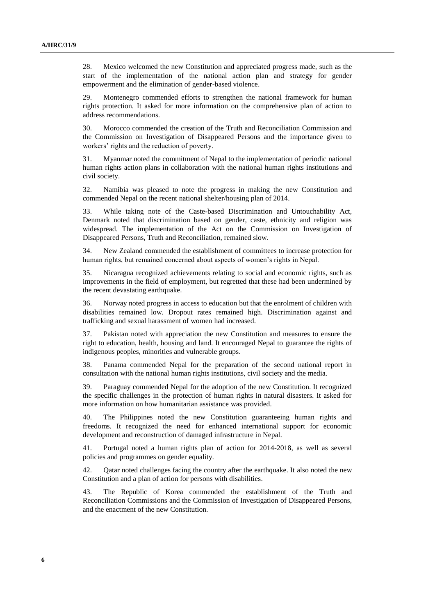28. Mexico welcomed the new Constitution and appreciated progress made, such as the start of the implementation of the national action plan and strategy for gender empowerment and the elimination of gender-based violence.

29. Montenegro commended efforts to strengthen the national framework for human rights protection. It asked for more information on the comprehensive plan of action to address recommendations.

30. Morocco commended the creation of the Truth and Reconciliation Commission and the Commission on Investigation of Disappeared Persons and the importance given to workers' rights and the reduction of poverty.

31. Myanmar noted the commitment of Nepal to the implementation of periodic national human rights action plans in collaboration with the national human rights institutions and civil society.

32. Namibia was pleased to note the progress in making the new Constitution and commended Nepal on the recent national shelter/housing plan of 2014.

33. While taking note of the Caste-based Discrimination and Untouchability Act, Denmark noted that discrimination based on gender, caste, ethnicity and religion was widespread. The implementation of the Act on the Commission on Investigation of Disappeared Persons, Truth and Reconciliation, remained slow.

34. New Zealand commended the establishment of committees to increase protection for human rights, but remained concerned about aspects of women's rights in Nepal.

35. Nicaragua recognized achievements relating to social and economic rights, such as improvements in the field of employment, but regretted that these had been undermined by the recent devastating earthquake.

36. Norway noted progress in access to education but that the enrolment of children with disabilities remained low. Dropout rates remained high. Discrimination against and trafficking and sexual harassment of women had increased.

37. Pakistan noted with appreciation the new Constitution and measures to ensure the right to education, health, housing and land. It encouraged Nepal to guarantee the rights of indigenous peoples, minorities and vulnerable groups.

38. Panama commended Nepal for the preparation of the second national report in consultation with the national human rights institutions, civil society and the media.

39. Paraguay commended Nepal for the adoption of the new Constitution. It recognized the specific challenges in the protection of human rights in natural disasters. It asked for more information on how humanitarian assistance was provided.

40. The Philippines noted the new Constitution guaranteeing human rights and freedoms. It recognized the need for enhanced international support for economic development and reconstruction of damaged infrastructure in Nepal.

41. Portugal noted a human rights plan of action for 2014-2018, as well as several policies and programmes on gender equality.

42. Qatar noted challenges facing the country after the earthquake. It also noted the new Constitution and a plan of action for persons with disabilities.

43. The Republic of Korea commended the establishment of the Truth and Reconciliation Commissions and the Commission of Investigation of Disappeared Persons, and the enactment of the new Constitution.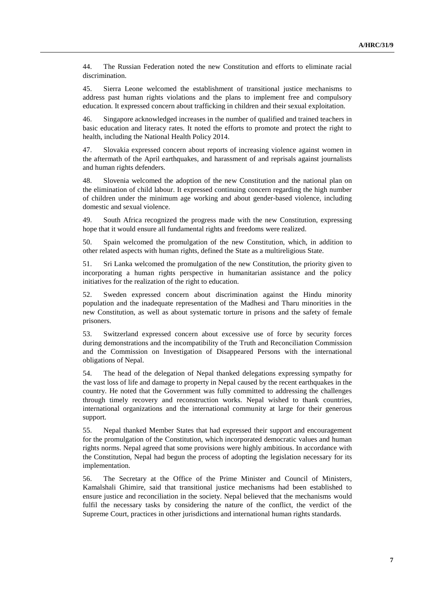44. The Russian Federation noted the new Constitution and efforts to eliminate racial discrimination.

45. Sierra Leone welcomed the establishment of transitional justice mechanisms to address past human rights violations and the plans to implement free and compulsory education. It expressed concern about trafficking in children and their sexual exploitation.

46. Singapore acknowledged increases in the number of qualified and trained teachers in basic education and literacy rates. It noted the efforts to promote and protect the right to health, including the National Health Policy 2014.

47. Slovakia expressed concern about reports of increasing violence against women in the aftermath of the April earthquakes, and harassment of and reprisals against journalists and human rights defenders.

48. Slovenia welcomed the adoption of the new Constitution and the national plan on the elimination of child labour. It expressed continuing concern regarding the high number of children under the minimum age working and about gender-based violence, including domestic and sexual violence.

49. South Africa recognized the progress made with the new Constitution, expressing hope that it would ensure all fundamental rights and freedoms were realized.

50. Spain welcomed the promulgation of the new Constitution, which, in addition to other related aspects with human rights, defined the State as a multireligious State.

51. Sri Lanka welcomed the promulgation of the new Constitution, the priority given to incorporating a human rights perspective in humanitarian assistance and the policy initiatives for the realization of the right to education.

52. Sweden expressed concern about discrimination against the Hindu minority population and the inadequate representation of the Madhesi and Tharu minorities in the new Constitution, as well as about systematic torture in prisons and the safety of female prisoners.

53. Switzerland expressed concern about excessive use of force by security forces during demonstrations and the incompatibility of the Truth and Reconciliation Commission and the Commission on Investigation of Disappeared Persons with the international obligations of Nepal.

54. The head of the delegation of Nepal thanked delegations expressing sympathy for the vast loss of life and damage to property in Nepal caused by the recent earthquakes in the country. He noted that the Government was fully committed to addressing the challenges through timely recovery and reconstruction works. Nepal wished to thank countries, international organizations and the international community at large for their generous support.

55. Nepal thanked Member States that had expressed their support and encouragement for the promulgation of the Constitution, which incorporated democratic values and human rights norms. Nepal agreed that some provisions were highly ambitious. In accordance with the Constitution, Nepal had begun the process of adopting the legislation necessary for its implementation.

56. The Secretary at the Office of the Prime Minister and Council of Ministers, Kamalshali Ghimire, said that transitional justice mechanisms had been established to ensure justice and reconciliation in the society. Nepal believed that the mechanisms would fulfil the necessary tasks by considering the nature of the conflict, the verdict of the Supreme Court, practices in other jurisdictions and international human rights standards.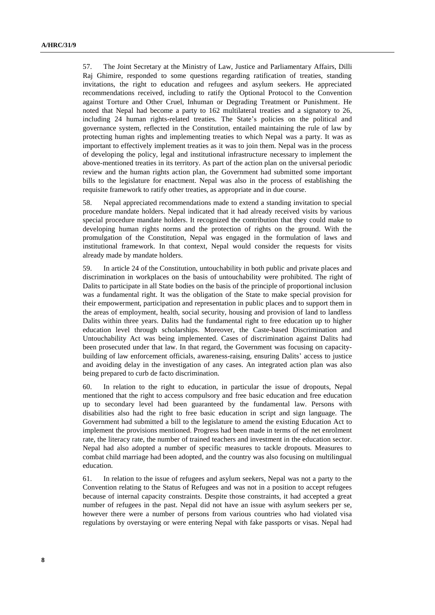57. The Joint Secretary at the Ministry of Law, Justice and Parliamentary Affairs, Dilli Raj Ghimire, responded to some questions regarding ratification of treaties, standing invitations, the right to education and refugees and asylum seekers. He appreciated recommendations received, including to ratify the Optional Protocol to the Convention against Torture and Other Cruel, Inhuman or Degrading Treatment or Punishment. He noted that Nepal had become a party to 162 multilateral treaties and a signatory to 26, including 24 human rights-related treaties. The State's policies on the political and governance system, reflected in the Constitution, entailed maintaining the rule of law by protecting human rights and implementing treaties to which Nepal was a party. It was as important to effectively implement treaties as it was to join them. Nepal was in the process of developing the policy, legal and institutional infrastructure necessary to implement the above-mentioned treaties in its territory. As part of the action plan on the universal periodic review and the human rights action plan, the Government had submitted some important bills to the legislature for enactment. Nepal was also in the process of establishing the requisite framework to ratify other treaties, as appropriate and in due course.

58. Nepal appreciated recommendations made to extend a standing invitation to special procedure mandate holders. Nepal indicated that it had already received visits by various special procedure mandate holders. It recognized the contribution that they could make to developing human rights norms and the protection of rights on the ground. With the promulgation of the Constitution, Nepal was engaged in the formulation of laws and institutional framework. In that context, Nepal would consider the requests for visits already made by mandate holders.

59. In article 24 of the Constitution, untouchability in both public and private places and discrimination in workplaces on the basis of untouchability were prohibited. The right of Dalits to participate in all State bodies on the basis of the principle of proportional inclusion was a fundamental right. It was the obligation of the State to make special provision for their empowerment, participation and representation in public places and to support them in the areas of employment, health, social security, housing and provision of land to landless Dalits within three years. Dalits had the fundamental right to free education up to higher education level through scholarships. Moreover, the Caste-based Discrimination and Untouchability Act was being implemented. Cases of discrimination against Dalits had been prosecuted under that law. In that regard, the Government was focusing on capacitybuilding of law enforcement officials, awareness-raising, ensuring Dalits' access to justice and avoiding delay in the investigation of any cases. An integrated action plan was also being prepared to curb de facto discrimination.

60. In relation to the right to education, in particular the issue of dropouts, Nepal mentioned that the right to access compulsory and free basic education and free education up to secondary level had been guaranteed by the fundamental law. Persons with disabilities also had the right to free basic education in script and sign language. The Government had submitted a bill to the legislature to amend the existing Education Act to implement the provisions mentioned. Progress had been made in terms of the net enrolment rate, the literacy rate, the number of trained teachers and investment in the education sector. Nepal had also adopted a number of specific measures to tackle dropouts. Measures to combat child marriage had been adopted, and the country was also focusing on multilingual education.

61. In relation to the issue of refugees and asylum seekers, Nepal was not a party to the Convention relating to the Status of Refugees and was not in a position to accept refugees because of internal capacity constraints. Despite those constraints, it had accepted a great number of refugees in the past. Nepal did not have an issue with asylum seekers per se, however there were a number of persons from various countries who had violated visa regulations by overstaying or were entering Nepal with fake passports or visas. Nepal had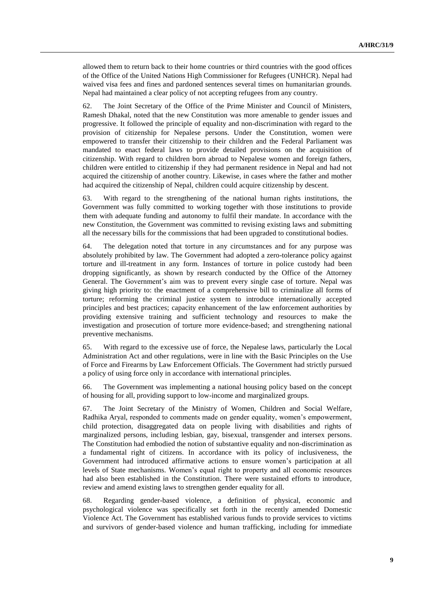allowed them to return back to their home countries or third countries with the good offices of the Office of the United Nations High Commissioner for Refugees (UNHCR). Nepal had waived visa fees and fines and pardoned sentences several times on humanitarian grounds. Nepal had maintained a clear policy of not accepting refugees from any country.

62. The Joint Secretary of the Office of the Prime Minister and Council of Ministers, Ramesh Dhakal, noted that the new Constitution was more amenable to gender issues and progressive. It followed the principle of equality and non-discrimination with regard to the provision of citizenship for Nepalese persons. Under the Constitution, women were empowered to transfer their citizenship to their children and the Federal Parliament was mandated to enact federal laws to provide detailed provisions on the acquisition of citizenship. With regard to children born abroad to Nepalese women and foreign fathers, children were entitled to citizenship if they had permanent residence in Nepal and had not acquired the citizenship of another country. Likewise, in cases where the father and mother had acquired the citizenship of Nepal, children could acquire citizenship by descent.

63. With regard to the strengthening of the national human rights institutions, the Government was fully committed to working together with those institutions to provide them with adequate funding and autonomy to fulfil their mandate. In accordance with the new Constitution, the Government was committed to revising existing laws and submitting all the necessary bills for the commissions that had been upgraded to constitutional bodies.

64. The delegation noted that torture in any circumstances and for any purpose was absolutely prohibited by law. The Government had adopted a zero-tolerance policy against torture and ill-treatment in any form. Instances of torture in police custody had been dropping significantly, as shown by research conducted by the Office of the Attorney General. The Government's aim was to prevent every single case of torture. Nepal was giving high priority to: the enactment of a comprehensive bill to criminalize all forms of torture; reforming the criminal justice system to introduce internationally accepted principles and best practices; capacity enhancement of the law enforcement authorities by providing extensive training and sufficient technology and resources to make the investigation and prosecution of torture more evidence-based; and strengthening national preventive mechanisms.

65. With regard to the excessive use of force, the Nepalese laws, particularly the Local Administration Act and other regulations, were in line with the Basic Principles on the Use of Force and Firearms by Law Enforcement Officials. The Government had strictly pursued a policy of using force only in accordance with international principles.

66. The Government was implementing a national housing policy based on the concept of housing for all, providing support to low-income and marginalized groups.

67. The Joint Secretary of the Ministry of Women, Children and Social Welfare, Radhika Aryal, responded to comments made on gender equality, women's empowerment, child protection, disaggregated data on people living with disabilities and rights of marginalized persons, including lesbian, gay, bisexual, transgender and intersex persons. The Constitution had embodied the notion of substantive equality and non-discrimination as a fundamental right of citizens. In accordance with its policy of inclusiveness, the Government had introduced affirmative actions to ensure women's participation at all levels of State mechanisms. Women's equal right to property and all economic resources had also been established in the Constitution. There were sustained efforts to introduce, review and amend existing laws to strengthen gender equality for all.

68. Regarding gender-based violence, a definition of physical, economic and psychological violence was specifically set forth in the recently amended Domestic Violence Act. The Government has established various funds to provide services to victims and survivors of gender-based violence and human trafficking, including for immediate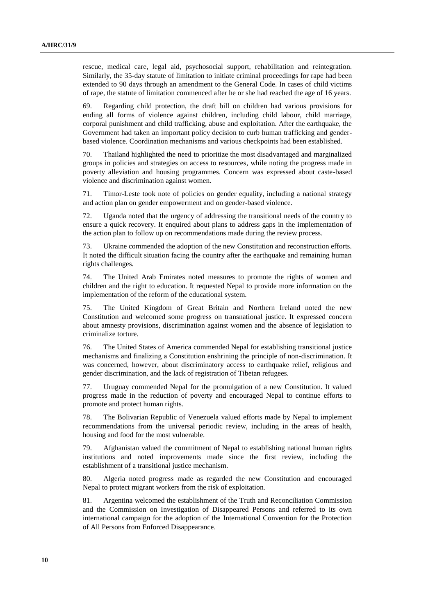rescue, medical care, legal aid, psychosocial support, rehabilitation and reintegration. Similarly, the 35-day statute of limitation to initiate criminal proceedings for rape had been extended to 90 days through an amendment to the General Code. In cases of child victims of rape, the statute of limitation commenced after he or she had reached the age of 16 years.

69. Regarding child protection, the draft bill on children had various provisions for ending all forms of violence against children, including child labour, child marriage, corporal punishment and child trafficking, abuse and exploitation. After the earthquake, the Government had taken an important policy decision to curb human trafficking and genderbased violence. Coordination mechanisms and various checkpoints had been established.

70. Thailand highlighted the need to prioritize the most disadvantaged and marginalized groups in policies and strategies on access to resources, while noting the progress made in poverty alleviation and housing programmes. Concern was expressed about caste-based violence and discrimination against women.

71. Timor-Leste took note of policies on gender equality, including a national strategy and action plan on gender empowerment and on gender-based violence.

72. Uganda noted that the urgency of addressing the transitional needs of the country to ensure a quick recovery. It enquired about plans to address gaps in the implementation of the action plan to follow up on recommendations made during the review process.

73. Ukraine commended the adoption of the new Constitution and reconstruction efforts. It noted the difficult situation facing the country after the earthquake and remaining human rights challenges.

74. The United Arab Emirates noted measures to promote the rights of women and children and the right to education. It requested Nepal to provide more information on the implementation of the reform of the educational system.

75. The United Kingdom of Great Britain and Northern Ireland noted the new Constitution and welcomed some progress on transnational justice. It expressed concern about amnesty provisions, discrimination against women and the absence of legislation to criminalize torture.

76. The United States of America commended Nepal for establishing transitional justice mechanisms and finalizing a Constitution enshrining the principle of non-discrimination. It was concerned, however, about discriminatory access to earthquake relief, religious and gender discrimination, and the lack of registration of Tibetan refugees.

77. Uruguay commended Nepal for the promulgation of a new Constitution. It valued progress made in the reduction of poverty and encouraged Nepal to continue efforts to promote and protect human rights.

78. The Bolivarian Republic of Venezuela valued efforts made by Nepal to implement recommendations from the universal periodic review, including in the areas of health, housing and food for the most vulnerable.

79. Afghanistan valued the commitment of Nepal to establishing national human rights institutions and noted improvements made since the first review, including the establishment of a transitional justice mechanism.

80. Algeria noted progress made as regarded the new Constitution and encouraged Nepal to protect migrant workers from the risk of exploitation.

81. Argentina welcomed the establishment of the Truth and Reconciliation Commission and the Commission on Investigation of Disappeared Persons and referred to its own international campaign for the adoption of the International Convention for the Protection of All Persons from Enforced Disappearance.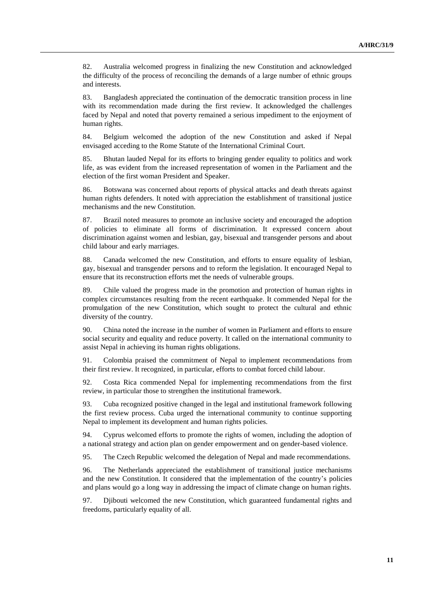82. Australia welcomed progress in finalizing the new Constitution and acknowledged the difficulty of the process of reconciling the demands of a large number of ethnic groups and interests.

83. Bangladesh appreciated the continuation of the democratic transition process in line with its recommendation made during the first review. It acknowledged the challenges faced by Nepal and noted that poverty remained a serious impediment to the enjoyment of human rights.

84. Belgium welcomed the adoption of the new Constitution and asked if Nepal envisaged acceding to the Rome Statute of the International Criminal Court.

85. Bhutan lauded Nepal for its efforts to bringing gender equality to politics and work life, as was evident from the increased representation of women in the Parliament and the election of the first woman President and Speaker.

86. Botswana was concerned about reports of physical attacks and death threats against human rights defenders. It noted with appreciation the establishment of transitional justice mechanisms and the new Constitution.

87. Brazil noted measures to promote an inclusive society and encouraged the adoption of policies to eliminate all forms of discrimination. It expressed concern about discrimination against women and lesbian, gay, bisexual and transgender persons and about child labour and early marriages.

88. Canada welcomed the new Constitution, and efforts to ensure equality of lesbian, gay, bisexual and transgender persons and to reform the legislation. It encouraged Nepal to ensure that its reconstruction efforts met the needs of vulnerable groups.

89. Chile valued the progress made in the promotion and protection of human rights in complex circumstances resulting from the recent earthquake. It commended Nepal for the promulgation of the new Constitution, which sought to protect the cultural and ethnic diversity of the country.

90. China noted the increase in the number of women in Parliament and efforts to ensure social security and equality and reduce poverty. It called on the international community to assist Nepal in achieving its human rights obligations.

91. Colombia praised the commitment of Nepal to implement recommendations from their first review. It recognized, in particular, efforts to combat forced child labour.

92. Costa Rica commended Nepal for implementing recommendations from the first review, in particular those to strengthen the institutional framework.

93. Cuba recognized positive changed in the legal and institutional framework following the first review process. Cuba urged the international community to continue supporting Nepal to implement its development and human rights policies.

94. Cyprus welcomed efforts to promote the rights of women, including the adoption of a national strategy and action plan on gender empowerment and on gender-based violence.

95. The Czech Republic welcomed the delegation of Nepal and made recommendations.

96. The Netherlands appreciated the establishment of transitional justice mechanisms and the new Constitution. It considered that the implementation of the country's policies and plans would go a long way in addressing the impact of climate change on human rights.

97. Djibouti welcomed the new Constitution, which guaranteed fundamental rights and freedoms, particularly equality of all.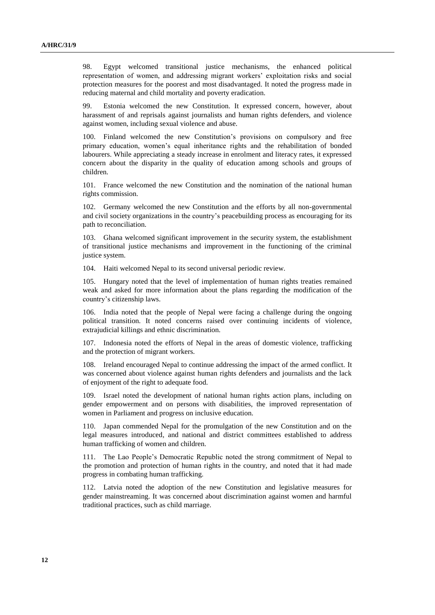98. Egypt welcomed transitional justice mechanisms, the enhanced political representation of women, and addressing migrant workers' exploitation risks and social protection measures for the poorest and most disadvantaged. It noted the progress made in reducing maternal and child mortality and poverty eradication.

99. Estonia welcomed the new Constitution. It expressed concern, however, about harassment of and reprisals against journalists and human rights defenders, and violence against women, including sexual violence and abuse.

100. Finland welcomed the new Constitution's provisions on compulsory and free primary education, women's equal inheritance rights and the rehabilitation of bonded labourers. While appreciating a steady increase in enrolment and literacy rates, it expressed concern about the disparity in the quality of education among schools and groups of children.

101. France welcomed the new Constitution and the nomination of the national human rights commission.

102. Germany welcomed the new Constitution and the efforts by all non-governmental and civil society organizations in the country's peacebuilding process as encouraging for its path to reconciliation.

103. Ghana welcomed significant improvement in the security system, the establishment of transitional justice mechanisms and improvement in the functioning of the criminal justice system.

104. Haiti welcomed Nepal to its second universal periodic review.

105. Hungary noted that the level of implementation of human rights treaties remained weak and asked for more information about the plans regarding the modification of the country's citizenship laws.

106. India noted that the people of Nepal were facing a challenge during the ongoing political transition. It noted concerns raised over continuing incidents of violence, extrajudicial killings and ethnic discrimination.

107. Indonesia noted the efforts of Nepal in the areas of domestic violence, trafficking and the protection of migrant workers.

108. Ireland encouraged Nepal to continue addressing the impact of the armed conflict. It was concerned about violence against human rights defenders and journalists and the lack of enjoyment of the right to adequate food.

109. Israel noted the development of national human rights action plans, including on gender empowerment and on persons with disabilities, the improved representation of women in Parliament and progress on inclusive education.

110. Japan commended Nepal for the promulgation of the new Constitution and on the legal measures introduced, and national and district committees established to address human trafficking of women and children.

111. The Lao People's Democratic Republic noted the strong commitment of Nepal to the promotion and protection of human rights in the country, and noted that it had made progress in combating human trafficking.

112. Latvia noted the adoption of the new Constitution and legislative measures for gender mainstreaming. It was concerned about discrimination against women and harmful traditional practices, such as child marriage.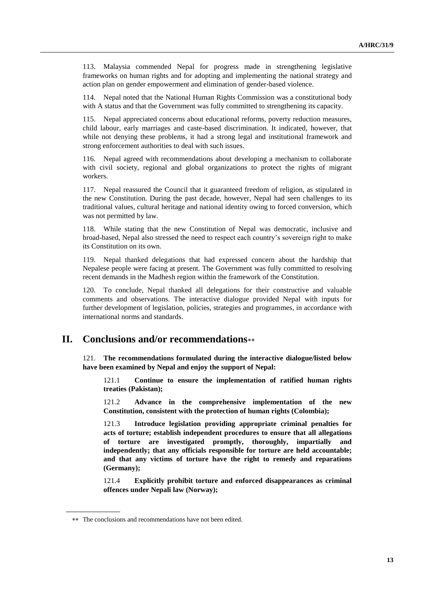113. Malaysia commended Nepal for progress made in strengthening legislative frameworks on human rights and for adopting and implementing the national strategy and action plan on gender empowerment and elimination of gender-based violence.

114. Nepal noted that the National Human Rights Commission was a constitutional body with A status and that the Government was fully committed to strengthening its capacity.

115. Nepal appreciated concerns about educational reforms, poverty reduction measures, child labour, early marriages and caste-based discrimination. It indicated, however, that while not denying these problems, it had a strong legal and institutional framework and strong enforcement authorities to deal with such issues.

116. Nepal agreed with recommendations about developing a mechanism to collaborate with civil society, regional and global organizations to protect the rights of migrant workers.

117. Nepal reassured the Council that it guaranteed freedom of religion, as stipulated in the new Constitution. During the past decade, however, Nepal had seen challenges to its traditional values, cultural heritage and national identity owing to forced conversion, which was not permitted by law.

118. While stating that the new Constitution of Nepal was democratic, inclusive and broad-based, Nepal also stressed the need to respect each country's sovereign right to make its Constitution on its own.

119. Nepal thanked delegations that had expressed concern about the hardship that Nepalese people were facing at present. The Government was fully committed to resolving recent demands in the Madhesh region within the framework of the Constitution.

120. To conclude, Nepal thanked all delegations for their constructive and valuable comments and observations. The interactive dialogue provided Nepal with inputs for further development of legislation, policies, strategies and programmes, in accordance with international norms and standards.

## **II. Conclusions and/or recommendations**

121. **The recommendations formulated during the interactive dialogue/listed below have been examined by Nepal and enjoy the support of Nepal:**

121.1 **Continue to ensure the implementation of ratified human rights treaties (Pakistan);**

121.2 **Advance in the comprehensive implementation of the new Constitution, consistent with the protection of human rights (Colombia);**

121.3 **Introduce legislation providing appropriate criminal penalties for acts of torture; establish independent procedures to ensure that all allegations of torture are investigated promptly, thoroughly, impartially and independently; that any officials responsible for torture are held accountable; and that any victims of torture have the right to remedy and reparations (Germany);**

121.4 **Explicitly prohibit torture and enforced disappearances as criminal offences under Nepali law (Norway);**

The conclusions and recommendations have not been edited.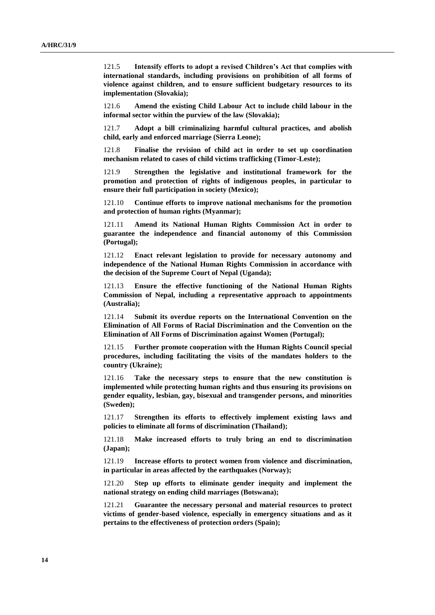121.5 **Intensify efforts to adopt a revised Children's Act that complies with international standards, including provisions on prohibition of all forms of violence against children, and to ensure sufficient budgetary resources to its implementation (Slovakia);**

121.6 **Amend the existing Child Labour Act to include child labour in the informal sector within the purview of the law (Slovakia);**

121.7 **Adopt a bill criminalizing harmful cultural practices, and abolish child, early and enforced marriage (Sierra Leone);**

121.8 **Finalise the revision of child act in order to set up coordination mechanism related to cases of child victims trafficking (Timor-Leste);**

121.9 **Strengthen the legislative and institutional framework for the promotion and protection of rights of indigenous peoples, in particular to ensure their full participation in society (Mexico);**

121.10 **Continue efforts to improve national mechanisms for the promotion and protection of human rights (Myanmar);**

121.11 **Amend its National Human Rights Commission Act in order to guarantee the independence and financial autonomy of this Commission (Portugal);**

121.12 **Enact relevant legislation to provide for necessary autonomy and independence of the National Human Rights Commission in accordance with the decision of the Supreme Court of Nepal (Uganda);**

121.13 **Ensure the effective functioning of the National Human Rights Commission of Nepal, including a representative approach to appointments (Australia);**

121.14 **Submit its overdue reports on the International Convention on the Elimination of All Forms of Racial Discrimination and the Convention on the Elimination of All Forms of Discrimination against Women (Portugal);**

121.15 **Further promote cooperation with the Human Rights Council special procedures, including facilitating the visits of the mandates holders to the country (Ukraine);**

121.16 **Take the necessary steps to ensure that the new constitution is implemented while protecting human rights and thus ensuring its provisions on gender equality, lesbian, gay, bisexual and transgender persons, and minorities (Sweden);**

121.17 **Strengthen its efforts to effectively implement existing laws and policies to eliminate all forms of discrimination (Thailand);**

121.18 **Make increased efforts to truly bring an end to discrimination (Japan);**

121.19 **Increase efforts to protect women from violence and discrimination, in particular in areas affected by the earthquakes (Norway);**

121.20 **Step up efforts to eliminate gender inequity and implement the national strategy on ending child marriages (Botswana);**

121.21 **Guarantee the necessary personal and material resources to protect victims of gender-based violence, especially in emergency situations and as it pertains to the effectiveness of protection orders (Spain);**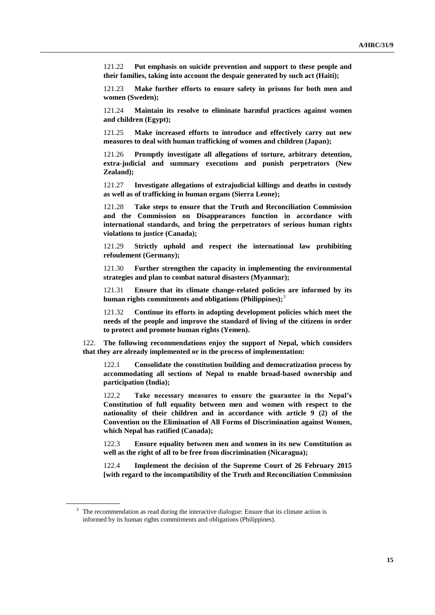121.22 **Put emphasis on suicide prevention and support to these people and their families, taking into account the despair generated by such act (Haiti);**

121.23 **Make further efforts to ensure safety in prisons for both men and women (Sweden);**

121.24 **Maintain its resolve to eliminate harmful practices against women and children (Egypt);**

121.25 **Make increased efforts to introduce and effectively carry out new measures to deal with human trafficking of women and children (Japan);**

121.26 **Promptly investigate all allegations of torture, arbitrary detention, extra-judicial and summary executions and punish perpetrators (New Zealand);**

121.27 **Investigate allegations of extrajudicial killings and deaths in custody as well as of trafficking in human organs (Sierra Leone);**

121.28 **Take steps to ensure that the Truth and Reconciliation Commission and the Commission on Disappearances function in accordance with international standards, and bring the perpetrators of serious human rights violations to justice (Canada);**

121.29 **Strictly uphold and respect the international law prohibiting refoulement (Germany);**

121.30 **Further strengthen the capacity in implementing the environmental strategies and plan to combat natural disasters (Myanmar);**

121.31 **Ensure that its climate change-related policies are informed by its human rights commitments and obligations (Philippines);**<sup>3</sup>

121.32 **Continue its efforts in adopting development policies which meet the needs of the people and improve the standard of living of the citizens in order to protect and promote human rights (Yemen).**

122. **The following recommendations enjoy the support of Nepal, which considers that they are already implemented or in the process of implementation:**

122.1 **Consolidate the constitution building and democratization process by accommodating all sections of Nepal to enable broad-based ownership and participation (India);**

122.2 **Take necessary measures to ensure the guarantee in the Nepal's Constitution of full equality between men and women with respect to the nationality of their children and in accordance with article 9 (2) of the Convention on the Elimination of All Forms of Discrimination against Women, which Nepal has ratified (Canada);**

122.3 **Ensure equality between men and women in its new Constitution as well as the right of all to be free from discrimination (Nicaragua);**

122.4 **Implement the decision of the Supreme Court of 26 February 2015 [with regard to the incompatibility of the Truth and Reconciliation Commission** 

<sup>&</sup>lt;sup>3</sup> The recommendation as read during the interactive dialogue: Ensure that its climate action is informed by its human rights commitments and obligations (Philippines).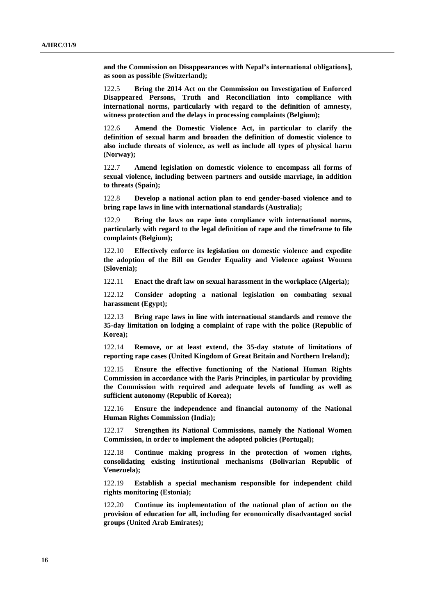**and the Commission on Disappearances with Nepal's international obligations], as soon as possible (Switzerland);**

122.5 **Bring the 2014 Act on the Commission on Investigation of Enforced Disappeared Persons, Truth and Reconciliation into compliance with international norms, particularly with regard to the definition of amnesty, witness protection and the delays in processing complaints (Belgium);**

122.6 **Amend the Domestic Violence Act, in particular to clarify the definition of sexual harm and broaden the definition of domestic violence to also include threats of violence, as well as include all types of physical harm (Norway);**

122.7 **Amend legislation on domestic violence to encompass all forms of sexual violence, including between partners and outside marriage, in addition to threats (Spain);**

122.8 **Develop a national action plan to end gender-based violence and to bring rape laws in line with international standards (Australia);**

122.9 **Bring the laws on rape into compliance with international norms, particularly with regard to the legal definition of rape and the timeframe to file complaints (Belgium);**

122.10 **Effectively enforce its legislation on domestic violence and expedite the adoption of the Bill on Gender Equality and Violence against Women (Slovenia);**

122.11 **Enact the draft law on sexual harassment in the workplace (Algeria);**

122.12 **Consider adopting a national legislation on combating sexual harassment (Egypt);**

122.13 **Bring rape laws in line with international standards and remove the 35-day limitation on lodging a complaint of rape with the police (Republic of Korea);**

122.14 **Remove, or at least extend, the 35-day statute of limitations of reporting rape cases (United Kingdom of Great Britain and Northern Ireland);**

122.15 **Ensure the effective functioning of the National Human Rights Commission in accordance with the Paris Principles, in particular by providing the Commission with required and adequate levels of funding as well as sufficient autonomy (Republic of Korea);**

122.16 **Ensure the independence and financial autonomy of the National Human Rights Commission (India);**

122.17 **Strengthen its National Commissions, namely the National Women Commission, in order to implement the adopted policies (Portugal);**

122.18 **Continue making progress in the protection of women rights, consolidating existing institutional mechanisms (Bolivarian Republic of Venezuela);**

122.19 **Establish a special mechanism responsible for independent child rights monitoring (Estonia);**

122.20 **Continue its implementation of the national plan of action on the provision of education for all, including for economically disadvantaged social groups (United Arab Emirates);**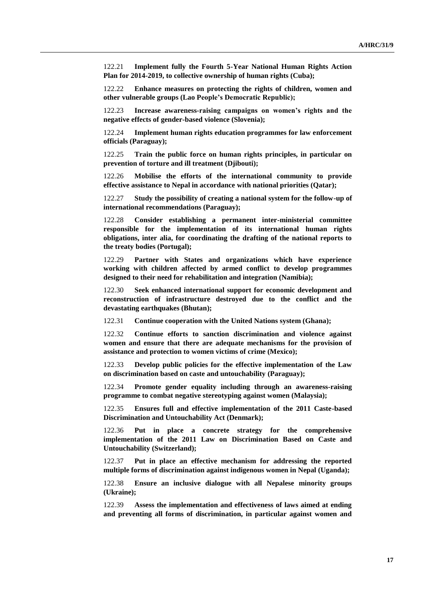122.21 **Implement fully the Fourth 5-Year National Human Rights Action Plan for 2014-2019, to collective ownership of human rights (Cuba);**

122.22 **Enhance measures on protecting the rights of children, women and other vulnerable groups (Lao People's Democratic Republic);**

122.23 **Increase awareness-raising campaigns on women's rights and the negative effects of gender-based violence (Slovenia);**

122.24 **Implement human rights education programmes for law enforcement officials (Paraguay);**

122.25 **Train the public force on human rights principles, in particular on prevention of torture and ill treatment (Djibouti);**

122.26 **Mobilise the efforts of the international community to provide effective assistance to Nepal in accordance with national priorities (Qatar);**

122.27 **Study the possibility of creating a national system for the follow-up of international recommendations (Paraguay);**

122.28 **Consider establishing a permanent inter-ministerial committee responsible for the implementation of its international human rights obligations, inter alia, for coordinating the drafting of the national reports to the treaty bodies (Portugal);**

122.29 **Partner with States and organizations which have experience working with children affected by armed conflict to develop programmes designed to their need for rehabilitation and integration (Namibia);**

122.30 **Seek enhanced international support for economic development and reconstruction of infrastructure destroyed due to the conflict and the devastating earthquakes (Bhutan);**

122.31 **Continue cooperation with the United Nations system (Ghana);**

122.32 **Continue efforts to sanction discrimination and violence against women and ensure that there are adequate mechanisms for the provision of assistance and protection to women victims of crime (Mexico);**

122.33 **Develop public policies for the effective implementation of the Law on discrimination based on caste and untouchability (Paraguay);**

122.34 **Promote gender equality including through an awareness-raising programme to combat negative stereotyping against women (Malaysia);**

122.35 **Ensures full and effective implementation of the 2011 Caste-based Discrimination and Untouchability Act (Denmark);**

122.36 **Put in place a concrete strategy for the comprehensive implementation of the 2011 Law on Discrimination Based on Caste and Untouchability (Switzerland);**

122.37 **Put in place an effective mechanism for addressing the reported multiple forms of discrimination against indigenous women in Nepal (Uganda);**

122.38 **Ensure an inclusive dialogue with all Nepalese minority groups (Ukraine);**

122.39 **Assess the implementation and effectiveness of laws aimed at ending and preventing all forms of discrimination, in particular against women and**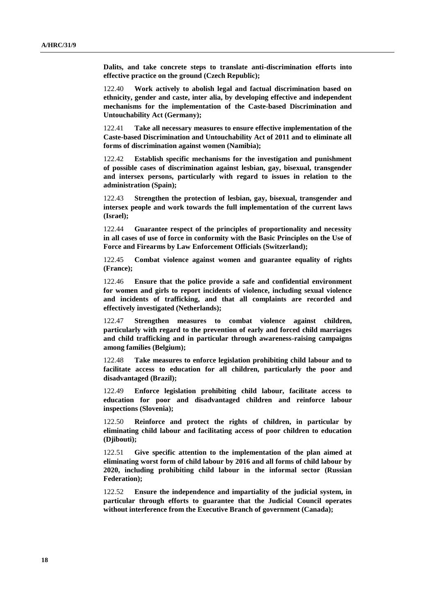**Dalits, and take concrete steps to translate anti-discrimination efforts into effective practice on the ground (Czech Republic);**

122.40 **Work actively to abolish legal and factual discrimination based on ethnicity, gender and caste, inter alia, by developing effective and independent mechanisms for the implementation of the Caste-based Discrimination and Untouchability Act (Germany);**

122.41 **Take all necessary measures to ensure effective implementation of the Caste-based Discrimination and Untouchability Act of 2011 and to eliminate all forms of discrimination against women (Namibia);**

122.42 **Establish specific mechanisms for the investigation and punishment of possible cases of discrimination against lesbian, gay, bisexual, transgender and intersex persons, particularly with regard to issues in relation to the administration (Spain);**

122.43 **Strengthen the protection of lesbian, gay, bisexual, transgender and intersex people and work towards the full implementation of the current laws (Israel);**

122.44 **Guarantee respect of the principles of proportionality and necessity in all cases of use of force in conformity with the Basic Principles on the Use of Force and Firearms by Law Enforcement Officials (Switzerland);**

122.45 **Combat violence against women and guarantee equality of rights (France);**

122.46 **Ensure that the police provide a safe and confidential environment for women and girls to report incidents of violence, including sexual violence and incidents of trafficking, and that all complaints are recorded and effectively investigated (Netherlands);**

122.47 **Strengthen measures to combat violence against children, particularly with regard to the prevention of early and forced child marriages and child trafficking and in particular through awareness-raising campaigns among families (Belgium);**

122.48 **Take measures to enforce legislation prohibiting child labour and to facilitate access to education for all children, particularly the poor and disadvantaged (Brazil);**

122.49 **Enforce legislation prohibiting child labour, facilitate access to education for poor and disadvantaged children and reinforce labour inspections (Slovenia);**

122.50 **Reinforce and protect the rights of children, in particular by eliminating child labour and facilitating access of poor children to education (Djibouti);**

122.51 **Give specific attention to the implementation of the plan aimed at eliminating worst form of child labour by 2016 and all forms of child labour by 2020, including prohibiting child labour in the informal sector (Russian Federation);**

122.52 **Ensure the independence and impartiality of the judicial system, in particular through efforts to guarantee that the Judicial Council operates without interference from the Executive Branch of government (Canada);**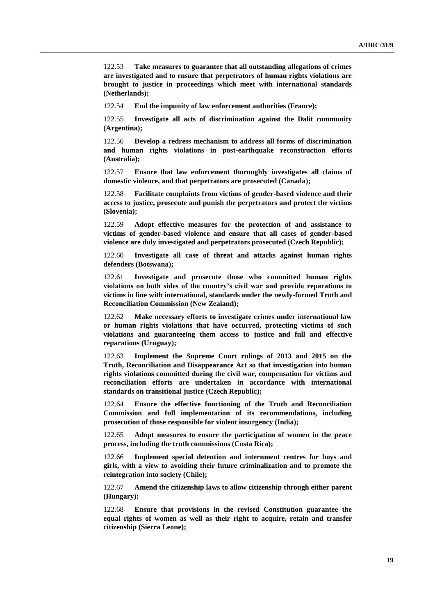122.53 **Take measures to guarantee that all outstanding allegations of crimes are investigated and to ensure that perpetrators of human rights violations are brought to justice in proceedings which meet with international standards (Netherlands);**

122.54 **End the impunity of law enforcement authorities (France);**

122.55 **Investigate all acts of discrimination against the Dalit community (Argentina);**

122.56 **Develop a redress mechanism to address all forms of discrimination and human rights violations in post-earthquake reconstruction efforts (Australia);**

122.57 **Ensure that law enforcement thoroughly investigates all claims of domestic violence, and that perpetrators are prosecuted (Canada);**

122.58 **Facilitate complaints from victims of gender-based violence and their access to justice, prosecute and punish the perpetrators and protect the victims (Slovenia);**

122.59 **Adopt effective measures for the protection of and assistance to victims of gender-based violence and ensure that all cases of gender-based violence are duly investigated and perpetrators prosecuted (Czech Republic);**

122.60 **Investigate all case of threat and attacks against human rights defenders (Botswana);**

122.61 **Investigate and prosecute those who committed human rights violations on both sides of the country's civil war and provide reparations to victims in line with international, standards under the newly-formed Truth and Reconciliation Commission (New Zealand);**

122.62 **Make necessary efforts to investigate crimes under international law or human rights violations that have occurred, protecting victims of such violations and guaranteeing them access to justice and full and effective reparations (Uruguay);**

122.63 **Implement the Supreme Court rulings of 2013 and 2015 on the Truth, Reconciliation and Disappearance Act so that investigation into human rights violations committed during the civil war, compensation for victims and reconciliation efforts are undertaken in accordance with international standards on transitional justice (Czech Republic);**

122.64 **Ensure the effective functioning of the Truth and Reconciliation Commission and full implementation of its recommendations, including prosecution of those responsible for violent insurgency (India);**

122.65 **Adopt measures to ensure the participation of women in the peace process, including the truth commissions (Costa Rica);**

122.66 **Implement special detention and internment centres for boys and girls, with a view to avoiding their future criminalization and to promote the reintegration into society (Chile);**

122.67 **Amend the citizenship laws to allow citizenship through either parent (Hungary);**

122.68 **Ensure that provisions in the revised Constitution guarantee the equal rights of women as well as their right to acquire, retain and transfer citizenship (Sierra Leone);**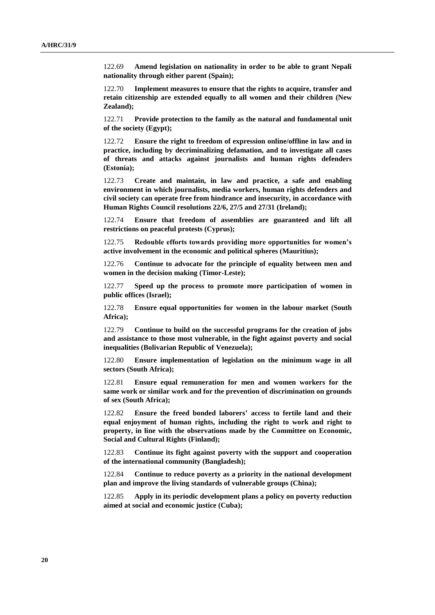122.69 **Amend legislation on nationality in order to be able to grant Nepali nationality through either parent (Spain);**

122.70 **Implement measures to ensure that the rights to acquire, transfer and retain citizenship are extended equally to all women and their children (New Zealand);**

122.71 **Provide protection to the family as the natural and fundamental unit of the society (Egypt);**

122.72 **Ensure the right to freedom of expression online/offline in law and in practice, including by decriminalizing defamation, and to investigate all cases of threats and attacks against journalists and human rights defenders (Estonia);**

122.73 **Create and maintain, in law and practice, a safe and enabling environment in which journalists, media workers, human rights defenders and civil society can operate free from hindrance and insecurity, in accordance with Human Rights Council resolutions 22/6, 27/5 and 27/31 (Ireland);**

122.74 **Ensure that freedom of assemblies are guaranteed and lift all restrictions on peaceful protests (Cyprus);**

122.75 **Redouble efforts towards providing more opportunities for women's active involvement in the economic and political spheres (Mauritius);**

122.76 **Continue to advocate for the principle of equality between men and women in the decision making (Timor-Leste);**

122.77 **Speed up the process to promote more participation of women in public offices (Israel);**

122.78 **Ensure equal opportunities for women in the labour market (South Africa);**

122.79 **Continue to build on the successful programs for the creation of jobs and assistance to those most vulnerable, in the fight against poverty and social inequalities (Bolivarian Republic of Venezuela);**

122.80 **Ensure implementation of legislation on the minimum wage in all sectors (South Africa);**

122.81 **Ensure equal remuneration for men and women workers for the same work or similar work and for the prevention of discrimination on grounds of sex (South Africa);**

122.82 **Ensure the freed bonded laborers' access to fertile land and their equal enjoyment of human rights, including the right to work and right to property, in line with the observations made by the Committee on Economic, Social and Cultural Rights (Finland);**

122.83 **Continue its fight against poverty with the support and cooperation of the international community (Bangladesh);**

122.84 **Continue to reduce poverty as a priority in the national development plan and improve the living standards of vulnerable groups (China);**

122.85 **Apply in its periodic development plans a policy on poverty reduction aimed at social and economic justice (Cuba);**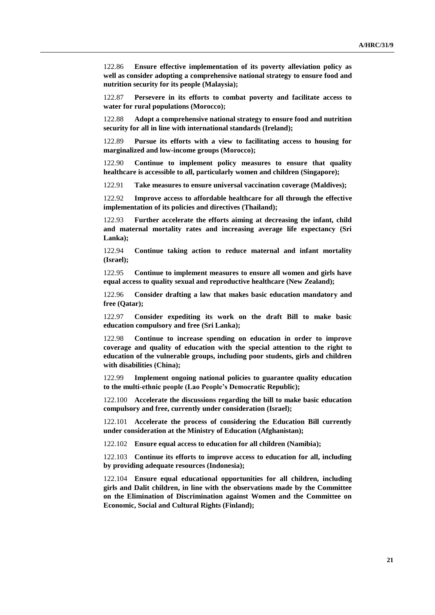122.86 **Ensure effective implementation of its poverty alleviation policy as well as consider adopting a comprehensive national strategy to ensure food and nutrition security for its people (Malaysia);**

122.87 **Persevere in its efforts to combat poverty and facilitate access to water for rural populations (Morocco);**

122.88 **Adopt a comprehensive national strategy to ensure food and nutrition security for all in line with international standards (Ireland);**

122.89 **Pursue its efforts with a view to facilitating access to housing for marginalized and low-income groups (Morocco);**

122.90 **Continue to implement policy measures to ensure that quality healthcare is accessible to all, particularly women and children (Singapore);**

122.91 **Take measures to ensure universal vaccination coverage (Maldives);**

122.92 **Improve access to affordable healthcare for all through the effective implementation of its policies and directives (Thailand);**

122.93 **Further accelerate the efforts aiming at decreasing the infant, child and maternal mortality rates and increasing average life expectancy (Sri Lanka);**

122.94 **Continue taking action to reduce maternal and infant mortality (Israel);**

122.95 **Continue to implement measures to ensure all women and girls have equal access to quality sexual and reproductive healthcare (New Zealand);**

122.96 **Consider drafting a law that makes basic education mandatory and free (Qatar);**

122.97 **Consider expediting its work on the draft Bill to make basic education compulsory and free (Sri Lanka);**

122.98 **Continue to increase spending on education in order to improve coverage and quality of education with the special attention to the right to education of the vulnerable groups, including poor students, girls and children with disabilities (China);**

122.99 **Implement ongoing national policies to guarantee quality education to the multi-ethnic people (Lao People's Democratic Republic);**

122.100 **Accelerate the discussions regarding the bill to make basic education compulsory and free, currently under consideration (Israel);**

122.101 **Accelerate the process of considering the Education Bill currently under consideration at the Ministry of Education (Afghanistan);**

122.102 **Ensure equal access to education for all children (Namibia);**

122.103 **Continue its efforts to improve access to education for all, including by providing adequate resources (Indonesia);**

122.104 **Ensure equal educational opportunities for all children, including girls and Dalit children, in line with the observations made by the Committee on the Elimination of Discrimination against Women and the Committee on Economic, Social and Cultural Rights (Finland);**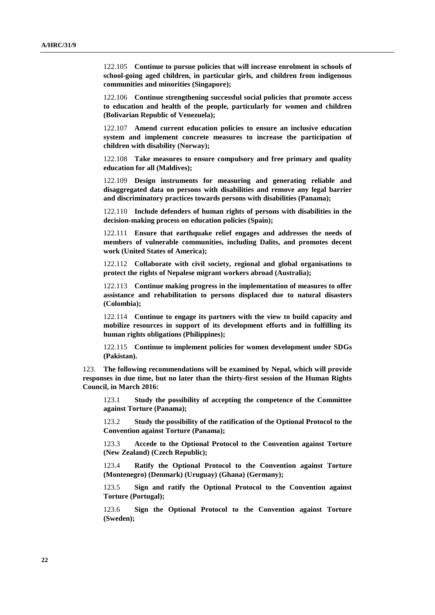122.105 **Continue to pursue policies that will increase enrolment in schools of school-going aged children, in particular girls, and children from indigenous communities and minorities (Singapore);**

122.106 **Continue strengthening successful social policies that promote access to education and health of the people, particularly for women and children (Bolivarian Republic of Venezuela);**

122.107 **Amend current education policies to ensure an inclusive education system and implement concrete measures to increase the participation of children with disability (Norway);**

122.108 **Take measures to ensure compulsory and free primary and quality education for all (Maldives);**

122.109 **Design instruments for measuring and generating reliable and disaggregated data on persons with disabilities and remove any legal barrier and discriminatory practices towards persons with disabilities (Panama);**

122.110 **Include defenders of human rights of persons with disabilities in the decision-making process on education policies (Spain);**

122.111 **Ensure that earthquake relief engages and addresses the needs of members of vulnerable communities, including Dalits, and promotes decent work (United States of America);**

122.112 **Collaborate with civil society, regional and global organisations to protect the rights of Nepalese migrant workers abroad (Australia);**

122.113 **Continue making progress in the implementation of measures to offer assistance and rehabilitation to persons displaced due to natural disasters (Colombia);**

122.114 **Continue to engage its partners with the view to build capacity and mobilize resources in support of its development efforts and in fulfilling its human rights obligations (Philippines);**

122.115 **Continue to implement policies for women development under SDGs (Pakistan).**

123. **The following recommendations will be examined by Nepal, which will provide responses in due time, but no later than the thirty-first session of the Human Rights Council, in March 2016:**

123.1 **Study the possibility of accepting the competence of the Committee against Torture (Panama);**

123.2 **Study the possibility of the ratification of the Optional Protocol to the Convention against Torture (Panama);**

123.3 **Accede to the Optional Protocol to the Convention against Torture (New Zealand) (Czech Republic);**

123.4 **Ratify the Optional Protocol to the Convention against Torture (Montenegro) (Denmark) (Uruguay) (Ghana) (Germany);**

123.5 **Sign and ratify the Optional Protocol to the Convention against Torture (Portugal);**

123.6 **Sign the Optional Protocol to the Convention against Torture (Sweden);**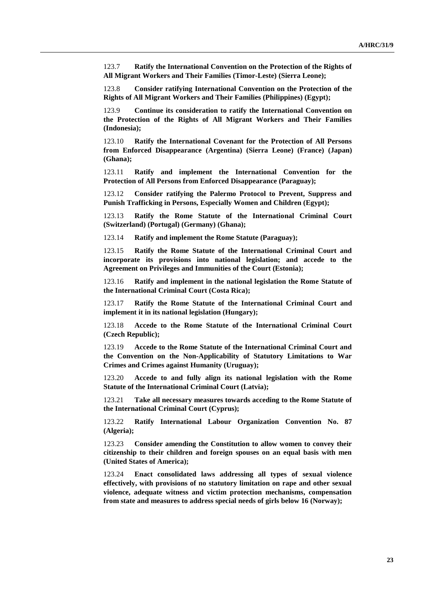123.7 **Ratify the International Convention on the Protection of the Rights of All Migrant Workers and Their Families (Timor-Leste) (Sierra Leone);**

123.8 **Consider ratifying International Convention on the Protection of the Rights of All Migrant Workers and Their Families (Philippines) (Egypt);**

123.9 **Continue its consideration to ratify the International Convention on the Protection of the Rights of All Migrant Workers and Their Families (Indonesia);**

123.10 **Ratify the International Covenant for the Protection of All Persons from Enforced Disappearance (Argentina) (Sierra Leone) (France) (Japan) (Ghana);**

123.11 **Ratify and implement the International Convention for the Protection of All Persons from Enforced Disappearance (Paraguay);**

123.12 **Consider ratifying the Palermo Protocol to Prevent, Suppress and Punish Trafficking in Persons, Especially Women and Children (Egypt);**

123.13 **Ratify the Rome Statute of the International Criminal Court (Switzerland) (Portugal) (Germany) (Ghana);**

123.14 **Ratify and implement the Rome Statute (Paraguay);**

123.15 **Ratify the Rome Statute of the International Criminal Court and incorporate its provisions into national legislation; and accede to the Agreement on Privileges and Immunities of the Court (Estonia);**

123.16 **Ratify and implement in the national legislation the Rome Statute of the International Criminal Court (Costa Rica);**

123.17 **Ratify the Rome Statute of the International Criminal Court and implement it in its national legislation (Hungary);**

123.18 **Accede to the Rome Statute of the International Criminal Court (Czech Republic);**

123.19 **Accede to the Rome Statute of the International Criminal Court and the Convention on the Non-Applicability of Statutory Limitations to War Crimes and Crimes against Humanity (Uruguay);**

123.20 **Accede to and fully align its national legislation with the Rome Statute of the International Criminal Court (Latvia);**

123.21 **Take all necessary measures towards acceding to the Rome Statute of the International Criminal Court (Cyprus);**

123.22 **Ratify International Labour Organization Convention No. 87 (Algeria);**

123.23 **Consider amending the Constitution to allow women to convey their citizenship to their children and foreign spouses on an equal basis with men (United States of America);**

123.24 **Enact consolidated laws addressing all types of sexual violence effectively, with provisions of no statutory limitation on rape and other sexual violence, adequate witness and victim protection mechanisms, compensation from state and measures to address special needs of girls below 16 (Norway);**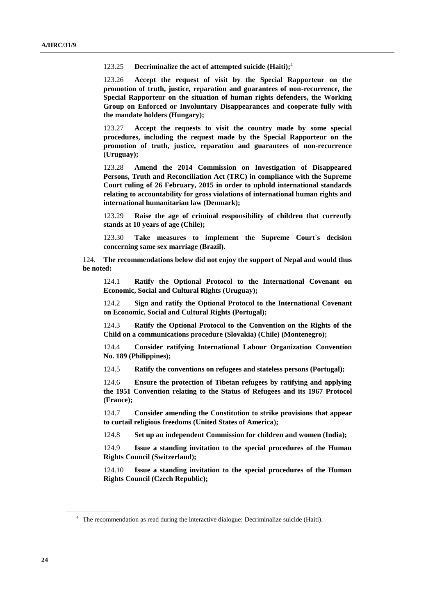123.25 **Decriminalize the act of attempted suicide (Haiti);** 4

123.26 **Accept the request of visit by the Special Rapporteur on the promotion of truth, justice, reparation and guarantees of non-recurrence, the Special Rapporteur on the situation of human rights defenders, the Working Group on Enforced or Involuntary Disappearances and cooperate fully with the mandate holders (Hungary);**

123.27 **Accept the requests to visit the country made by some special procedures, including the request made by the Special Rapporteur on the promotion of truth, justice, reparation and guarantees of non-recurrence (Uruguay);**

123.28 **Amend the 2014 Commission on Investigation of Disappeared Persons, Truth and Reconciliation Act (TRC) in compliance with the Supreme Court ruling of 26 February, 2015 in order to uphold international standards relating to accountability for gross violations of international human rights and international humanitarian law (Denmark);**

123.29 **Raise the age of criminal responsibility of children that currently stands at 10 years of age (Chile);**

123.30 **Take measures to implement the Supreme Court`s decision concerning same sex marriage (Brazil).**

124. **The recommendations below did not enjoy the support of Nepal and would thus be noted:**

124.1 **Ratify the Optional Protocol to the International Covenant on Economic, Social and Cultural Rights (Uruguay);**

124.2 **Sign and ratify the Optional Protocol to the International Covenant on Economic, Social and Cultural Rights (Portugal);**

124.3 **Ratify the Optional Protocol to the Convention on the Rights of the Child on a communications procedure (Slovakia) (Chile) (Montenegro);**

124.4 **Consider ratifying International Labour Organization Convention No. 189 (Philippines);**

124.5 **Ratify the conventions on refugees and stateless persons (Portugal);**

124.6 **Ensure the protection of Tibetan refugees by ratifying and applying the 1951 Convention relating to the Status of Refugees and its 1967 Protocol (France);**

124.7 **Consider amending the Constitution to strike provisions that appear to curtail religious freedoms (United States of America);**

124.8 **Set up an independent Commission for children and women (India);**

124.9 **Issue a standing invitation to the special procedures of the Human Rights Council (Switzerland);**

124.10 **Issue a standing invitation to the special procedures of the Human Rights Council (Czech Republic);**

<sup>&</sup>lt;sup>4</sup> The recommendation as read during the interactive dialogue: Decriminalize suicide (Haiti).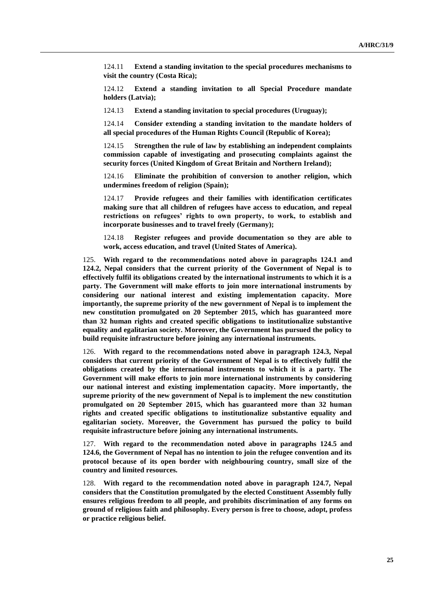124.11 **Extend a standing invitation to the special procedures mechanisms to visit the country (Costa Rica);**

124.12 **Extend a standing invitation to all Special Procedure mandate holders (Latvia);**

124.13 **Extend a standing invitation to special procedures (Uruguay);**

124.14 **Consider extending a standing invitation to the mandate holders of all special procedures of the Human Rights Council (Republic of Korea);**

124.15 **Strengthen the rule of law by establishing an independent complaints commission capable of investigating and prosecuting complaints against the security forces (United Kingdom of Great Britain and Northern Ireland);**

124.16 **Eliminate the prohibition of conversion to another religion, which undermines freedom of religion (Spain);**

124.17 **Provide refugees and their families with identification certificates making sure that all children of refugees have access to education, and repeal restrictions on refugees' rights to own property, to work, to establish and incorporate businesses and to travel freely (Germany);**

124.18 **Register refugees and provide documentation so they are able to work, access education, and travel (United States of America).**

125. **With regard to the recommendations noted above in paragraphs 124.1 and 124.2, Nepal considers that the current priority of the Government of Nepal is to effectively fulfil its obligations created by the international instruments to which it is a party. The Government will make efforts to join more international instruments by considering our national interest and existing implementation capacity. More importantly, the supreme priority of the new government of Nepal is to implement the new constitution promulgated on 20 September 2015, which has guaranteed more than 32 human rights and created specific obligations to institutionalize substantive equality and egalitarian society. Moreover, the Government has pursued the policy to build requisite infrastructure before joining any international instruments.**

126. **With regard to the recommendations noted above in paragraph 124.3, Nepal considers that current priority of the Government of Nepal is to effectively fulfil the obligations created by the international instruments to which it is a party. The Government will make efforts to join more international instruments by considering our national interest and existing implementation capacity. More importantly, the supreme priority of the new government of Nepal is to implement the new constitution promulgated on 20 September 2015, which has guaranteed more than 32 human rights and created specific obligations to institutionalize substantive equality and egalitarian society. Moreover, the Government has pursued the policy to build requisite infrastructure before joining any international instruments.**

127. **With regard to the recommendation noted above in paragraphs 124.5 and 124.6, the Government of Nepal has no intention to join the refugee convention and its protocol because of its open border with neighbouring country, small size of the country and limited resources.**

128. **With regard to the recommendation noted above in paragraph 124.7, Nepal considers that the Constitution promulgated by the elected Constituent Assembly fully ensures religious freedom to all people, and prohibits discrimination of any forms on ground of religious faith and philosophy. Every person is free to choose, adopt, profess or practice religious belief.**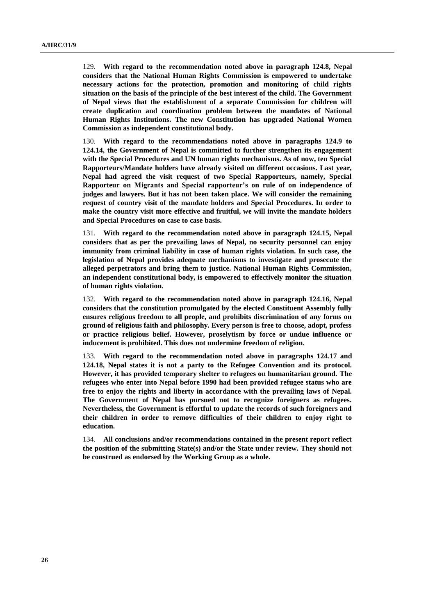129. **With regard to the recommendation noted above in paragraph 124.8, Nepal considers that the National Human Rights Commission is empowered to undertake necessary actions for the protection, promotion and monitoring of child rights situation on the basis of the principle of the best interest of the child. The Government of Nepal views that the establishment of a separate Commission for children will create duplication and coordination problem between the mandates of National Human Rights Institutions. The new Constitution has upgraded National Women Commission as independent constitutional body.**

130. **With regard to the recommendations noted above in paragraphs 124.9 to 124.14, the Government of Nepal is committed to further strengthen its engagement with the Special Procedures and UN human rights mechanisms. As of now, ten Special Rapporteurs/Mandate holders have already visited on different occasions. Last year, Nepal had agreed the visit request of two Special Rapporteurs, namely, Special Rapporteur on Migrants and Special rapporteur's on rule of on independence of judges and lawyers. But it has not been taken place. We will consider the remaining request of country visit of the mandate holders and Special Procedures. In order to make the country visit more effective and fruitful, we will invite the mandate holders and Special Procedures on case to case basis.**

131. **With regard to the recommendation noted above in paragraph 124.15, Nepal considers that as per the prevailing laws of Nepal, no security personnel can enjoy immunity from criminal liability in case of human rights violation. In such case, the legislation of Nepal provides adequate mechanisms to investigate and prosecute the alleged perpetrators and bring them to justice. National Human Rights Commission, an independent constitutional body, is empowered to effectively monitor the situation of human rights violation.**

132. **With regard to the recommendation noted above in paragraph 124.16, Nepal considers that the constitution promulgated by the elected Constituent Assembly fully ensures religious freedom to all people, and prohibits discrimination of any forms on ground of religious faith and philosophy. Every person is free to choose, adopt, profess or practice religious belief. However, proselytism by force or undue influence or inducement is prohibited. This does not undermine freedom of religion.**

133. **With regard to the recommendation noted above in paragraphs 124.17 and 124.18, Nepal states it is not a party to the Refugee Convention and its protocol. However, it has provided temporary shelter to refugees on humanitarian ground. The refugees who enter into Nepal before 1990 had been provided refugee status who are free to enjoy the rights and liberty in accordance with the prevailing laws of Nepal. The Government of Nepal has pursued not to recognize foreigners as refugees. Nevertheless, the Government is effortful to update the records of such foreigners and their children in order to remove difficulties of their children to enjoy right to education.**

134. **All conclusions and/or recommendations contained in the present report reflect the position of the submitting State(s) and/or the State under review. They should not be construed as endorsed by the Working Group as a whole.**